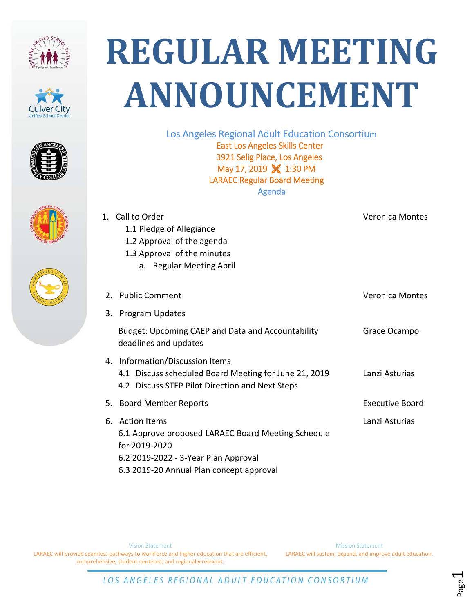









## **REGULAR MEETING ANNOUNCEMENT**

Los Angeles Regional Adult Education Consortium East Los Angeles Skills Center 3921 Selig Place, Los Angeles May 17, 2019 X 1:30 PM LARAEC Regular Board Meeting Agenda

| 1. Call to Order                                                                                            | <b>Veronica Montes</b>                                                                                                                                                                                                         |
|-------------------------------------------------------------------------------------------------------------|--------------------------------------------------------------------------------------------------------------------------------------------------------------------------------------------------------------------------------|
|                                                                                                             |                                                                                                                                                                                                                                |
| 1.3 Approval of the minutes                                                                                 |                                                                                                                                                                                                                                |
| a. Regular Meeting April                                                                                    |                                                                                                                                                                                                                                |
|                                                                                                             | Veronica Montes                                                                                                                                                                                                                |
|                                                                                                             |                                                                                                                                                                                                                                |
| Budget: Upcoming CAEP and Data and Accountability<br>deadlines and updates                                  | Grace Ocampo                                                                                                                                                                                                                   |
| 4.1 Discuss scheduled Board Meeting for June 21, 2019<br>4.2 Discuss STEP Pilot Direction and Next Steps    | Lanzi Asturias                                                                                                                                                                                                                 |
|                                                                                                             | <b>Executive Board</b>                                                                                                                                                                                                         |
| 6.1 Approve proposed LARAEC Board Meeting Schedule<br>for 2019-2020<br>6.2 2019-2022 - 3-Year Plan Approval | Lanzi Asturias                                                                                                                                                                                                                 |
|                                                                                                             | 1.1 Pledge of Allegiance<br>1.2 Approval of the agenda<br>2. Public Comment<br>3. Program Updates<br>4. Information/Discussion Items<br>5. Board Member Reports<br>6. Action Items<br>6.3 2019-20 Annual Plan concept approval |

Vision Statement

LARAEC will provide seamless pathways to workforce and higher education that are efficient, comprehensive, student‐centered, and regionally relevant.

Mission Statement LARAEC will sustain, expand, and improve adult education.

Page1